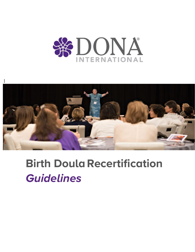



# **Birth Doula Recertification** *Guidelines*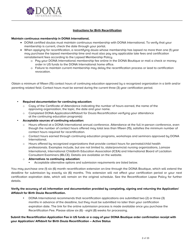

# **Instructions for Birth Recertification**

#### **Maintain continuous membership in DONA International.**

- DONA certified doulas must maintain continuous membership with DONA International. To verify that your membership is current, check the date through your portal.
- When applying for recertification, a recertifying doula whose membership has lapsed no more than one (1) year may purchase the lapsed membership time and must also pay any applicable late fees and certification reinstatement fees according to the Lapsed Membership Policy.
	- o Pay your DONA International membership fee online in the DONA Boutique or mail a check or money order in US funds to the DONA International home office.
	- o Failure to maintain current membership may delay the recertification process or lead to certification revocation.

Obtain a minimum of fifteen (15) contact hours of continuing education approved by a recognized organization in a birth and/or parenting related field. Contact hours must be earned during the current three (3) year certification period.

# • **Required documentation for continuing education:**

- Copy of the Certificate of Attendance indicating the number of hours earned, the name of the approving organization, the topic, the date and your name.
- o Completed DONA Application/Affidavit for Doula Recertification verifying your attendance at the continuing education program(s)
- **Acceptable sources of continuing education:**
	- o Hours offered at a DONA International annual conference. Attendance at the full in-person conference, even though the number of contact hours offered may total less than fifteen (15), satisfies the minimum number of contact hours required for recertification.
	- o Contact hours earned through continuing education programs, workshops and seminars approved by DONA International.
	- o Hours offered by recognized organizations that provide contact hours for perinatal/child health professionals. Examples include, but are not limited to, state/provincial nursing organizations, Lamaze International, International Childbirth Education Association (ICEA) and International Board of Lactation Consultant Examiners (IBLCE). Details are available on the website.
	- o **Alternatives to continuing education:**
		- Acceptable alternative options and submission requirements are listed below.

You may purchase one (1) six (6) month recertification extension on-line through the DONA Boutique, which will extend the deadline for submission by exactly six (6) months. This extension will not affect your certification period or your next certification expiration date, which will remain on the original schedule. See the Recertification Lapse Policy for further details.

# **Verify the accuracy of all information and documentation provided by completing, signing and returning the Application/ Affidavit for Birth Doula Recertification.**

• DONA International recommends that recertification applications are submitted two (2) or three (3) months in advance of the deadline, but they must be submitted no later than your certification expiration date. The link for the online submission process is made available once you purchase the Recertification Fee. Please allow six (6) - eight (8) weeks for processing.

# **Submit the Recertification Application Fee in US funds or a copy of your DONA Boutique order confirmation receipt with your Application/ Affidavit for Birth Doula Recertification – Active Status**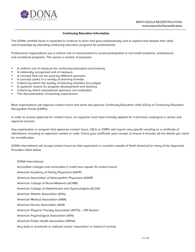

### **Continuing Education Information**

The DONA certified doula is expected to continue to learn and grow professionally and to expand and deepen their skills and knowledge by attending continuing education programs for professionals.

Professional organizations use a uniform unit of measurement to record participation in non-credit academic, professional and vocational programs. This serves a number of purposes:

- A uniform unit of measure for continuing education and training
- A nationally recognized unit of measure
- A concept that can be used by different sponsors
- A concept useful in a variety of learning formats
- Criteria by which the quality of learning activities are judged
- A systemic means for program development and delivery
- Criteria by which educational sponsors are evaluated
- The documentation of learning experiences

Most organizations will approve contact hours and some will approve Continuing Education Units (CEUs) or Continuing Education Recognition Points (CERPs).

In order to receive approval for contact hours, an organizer must have formally applied for it and have undergone a review and approval process.

Any organization or program that approves contact hours, CEUs or CERPs will require very specific wording on a certificate of attendance, including an approval number or code. Check your certificate upon receipt, to ensure it includes all the details you need for recertification.

DONA International will accept contact hours (or their equivalent in countries outside of North America) for many of the Approved Providers listed below:

#### DONA International

Accredited colleges and universities (1 credit hour equals 15 contact hours)

American Academy of Family Physicians (AAFP)

American Association of Naturopathic Physicians (AANP)

American College of Nurse-Midwives (ACNM)

American College of Obstetricians and Gynecologists (ACOG)

American Dietetic Association (ADA)

American Medical Association (AMA)

American Nurses Association (ANA)

American Physical Therapy Association (APTA) – OB Section

American Psychological Association (APA)

American Public Health Association (APHA)

Any state or provincial or national nurses' association or board of nursing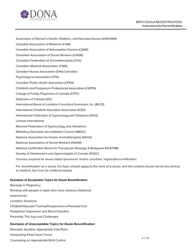

- Association of Women's Health, Obstetric, and Neonatal Nurses (AWHONN)
- Canadian Association of Midwives (CAM)
- Canadian Association of Naturopathic Doctors (CAND)
- Canadian Association of Social Workers (CASW)
- Canadian Federation of Aromatherapists (CFA)
- Canadian Medical Association (CMA)
- Canadian Nurses Association (CNA) Canadian
- Psychological Association (CPA)
- Canadian Public Health Association (CPHA)
- Childbirth and Postpartum Professional Association (CAPPA)
- College of Family Physicians of Canada (CFPC)
- Dieticians of Canada (DC)
- International Board of Lactation Consultant Examiners, Inc. (IBLCE)
- International Childbirth Education Association (ICEA)
- International Federation of Gynecology and Obstetrics (FIGO)
- Lamaze International
- Mexican Federation of Gynecology and Obstetrics
- Midwifery Education Accreditation Council (MEAC)
- National Association for Holistic Aromatherapists (NAHA)
- National Association of Social Workers (NASW)
- National Certification Board for Therapeutic Massage & Bodywork (NCBTMB)
- Society of Obstetricians and Gynecologists of Canada (SOGC)
- Courses required for doula states'/provinces' and/or countries' registration/certification

For recertification as a doula, the topic should apply to the work of a doula, and the content should not be too clinical or medical, but must be evidence-based.

# **Examples of Acceptable Topics for Doula Recertification**

Massage in Pregnancy Working with people in labor who have adverse childhood experiences Lactation Solutions Childbirth Educator Training Perspectives onPerinatal Care Postpartum Depression and Mood Disorders Parenting: The Joys and Challenges

# **Examples of Unacceptable Topics for Doula Recertification**

Neonatal Jaundice: Appropriate Care Plans

Interpreting Fetal Heart Tones

Counseling on Appropriate Birth Control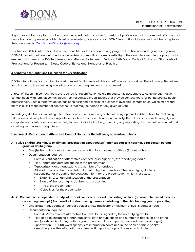

If you have taken or plan to take a continuing education course for perinatal professionals that does not offer contact hours from an approved provider listed or equivalent, please contact DONA International to ensure it will be acceptable. Send an email to [CertificationDirector@dona.org.](mailto:CertificationDirector@dona.org)

Disclaimer: DONA International is not responsible for the content of any program that has not undergone the rigorous DONA International continuing education review process. It is the responsibility of the doula to evaluate the program to ensure that it meets the DONA International Mission, Statement of Values, Birth Doula Code of Ethics and Standards of Practice, and/or Postpartum Doula Code of Ethics and Standards of Practice.

# **Alternatives to Continuing Education for Recertification**

DONA International is committed to making recertification as available and affordable as possible. The following alternatives for all or part of the continuing education contact hour requirements are approved.

A total of fifteen (15) contact hours are required for recertification as a birth doula. It is acceptable to combine alternative contact hours with form all contact hours from recognized organizations that provide contact hours for perinatal/child health professionals. Each alternative option has been assigned a maximum number of available contact hours, which means that there is a limit to the number of contact hours that may be earned for any given activity.

Recertifying doulas accumulating alternative contact hours with any of the following options for Alternatives to Continuing Education must complete the appropriate verification form for each individual activity. Read the instructions thoroughly and complete each verification form accurately for each individual activity, attaching any supporting documentation required and acquiring any necessary signatures.

# **Use Form A. Verification of Alternative Contact Hours, for the following alternative options:**

# **A- 1: Give a thirty (30) minute (minimum) presentation about doulas/ labor support to a hospital, birth center, parents' group or doula group.**

- One (1) alternative contact hour per presentation for a maximum of three (3) contact hours
- Documentation required
	- o Form A, Verification of Alternative Contact Hours, signed by the recertifying doula
	- o Title, length and detailed outline of the presentation
	- o Typewritten document stating the number of attendees
	- o All evaluations of the presentation turned in by the attendees. The recertifying doula is responsible for preparing the evaluation form for the presentation, which must state:
		- Date, time, length and location of the presentation
		- Name of the recertifying doula who is presenting
		- Title of the presentation
		- Objectives for the presentation

# **A- 2: Conduct an independent study of a book or article packet (consisting of five (5) research- based articles concerning one topic) from medical and/or nursing journals pertaining to the childbearing year or parenting.**

- One (1) alternative contact hour per book or article packet for a maximum of five (5) contact hours
- Documentation required
	- o Form A, Verification of Alternative Contact Hours, signed by the recertifying doula
	- o Title of book (including author, publisher, date of publication and number of pages) or title of the five (5) articles (including authors, journal names, dates of publication and number of pages)
	- o Typewritten 300-500 word synopsis of information contained in the book or article packet describing how the information obtained will impact your practice as a birth doula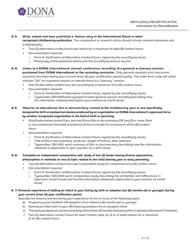

#### **A-3: Write, submit and have published a** *feature story* **in the** *International Doula* **or other**

**recognized childbearing publication.** The comparative or research article should include relevant references and a bibliography.

- Two (2) alternative contact hours per article for a maximum of eight (8) contact hours
- Documentation required
	- o Form A, Verification of Alternative Contact Hours, signed by the recertifying doula
	- o Photocopy of the published article with the recertifying doula's by-line
- **A- 4: Listen to a DONA International annual conference recording of a general or plenary session purchased from DONA International or the recording contractor.** Only general sessions (not concurrent sessions) recorded during your current three (3) year certification period qualify. The order form code will either indicate "GS" for a general session or indicate that it is a "plenary" session.
	- One (1) alternative contact hour per recording for a maximum of six (6) contact hours
	- Documentation required
		- o Form A, Verification of Alternative Contact Hours, signed by the recertifying doula
		- o Typewritten 500-600 word synopsis of each general session recording describing how the information obtained will impact your practice as a birth doula
- **A- 5: Observe an educational film or documentary related to the childbearing year or one specifically designedfor birth or postpartum doulas produced by an organization on DONA International's approved list or by another recognized organization in the field of birth or parenting.**
	- One (1) alternative contact hour per one (1) hour film or documentary OR two (2) or more films or documentaries that total at least one (1) hour in length for a maximum of five (5) contact hours
	- Documentation required
		- o Form A, Verification of Alternative Contact Hours, signed by the recertifying doula
		- o Title of film or documentary, producer, length of feature, date watched
		- o Typewritten 300-400 word summary of film or documentary describing how the information obtained is applicable to your practice as a birth doula

# **A- 6: Complete an independent comparative self- study of two (2) books having diverse approaches, philosophies or methods on one (1) topic related to the child bearing year or early parenting.**

- Two (2) alternative contact hours per comparative study for a maximum of six (6) contact hours
- Documentation required
	- o Form A, Verification of Alternative Contact Hours, signed by the recertifying doula
	- o Typewritten 500-600 word comparative study describing the similarities and differences in approach of each book and how the information obtained is applicable toyour practice as a birth doula

# **A- 7: Personal experience of adding an infant to your family by birth or adoption (six (6) months old or younger) during your current three (3) year certification period.**

Describe the lessons learned during your experience of one or more of the following topics:

- a) Pregnancy and childbirth OR adoption of an infant six (6) months old or younger
- b) Nursing an infant born toyou OR inducing lactation for an adopted infant
- c) The early postpartum period consisting ofthe three (3) months following birth or adoption (the fourth trimester).
- Two (2) alternative contact hours for each chosen topic a), b) or c) listed above for a maximum of six (6) contact hours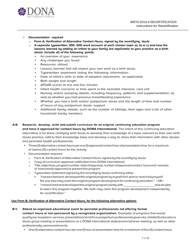

#### • **Documentation required**

- o **Form A, Verification of Alternative Contact Hours, signed by the recertifying doula**
- o **A separate typewritten 300- 500 word account of each chosen topic a), b) or c) and how the lessons learned by adding an infant to your family are applicable to your practice as a birth doula. Include all of the following points:**
	- **EXECT** An overview of your experience
	- Any challenges you faced
	- Resources utilized
	- Lessons learned that will impact your own work as a birth doula
	- Typewritten statement listing the following information:
	- Date of infant's birth or date of adoption placement, as applicable
	- Birth weight and length
	- APGAR scores at one and five minutes
	- Infant health concerns or time spent in the neonatal intensive care unit
	- Nursing and/or pumping details, including frequency, patterns and supplementation, as well as whether you had previous breastfeeding experience
	- Whether you had a birth and/or postpartum doula and the length of time and number of hours of any postpartum doula support
	- Additional family details, such as the number of siblings, their ages and a list of other household family members

#### **A-8: Research, develop, write and submit curriculum for an original continuing education program**

**and have it approved for contact hours by DONA International.** The intent of this continuing education alternative is for there certifying birth doula to develop their knowledge of a topic relevant to their own birth doula practice, add to their knowledge base and develop a way to share that information with other doulas and perinatal health professionals.

- Three (3) alternative contact hours per one (1) approved contact hour of presentation time for a maximum of twelve (12) contact hours for this activity
- Documentation required
	- o Form A, Verification of Alternative Contact Hours, signed by the recertifying doula
	- o Copy of curriculum approval notification from DONA International
	- o Title,objectives,programnumber,dateofapproval,numberofapprovedcontact hoursand name(s) of instructor(s) approved to present thisprogram
	- $\circ$  Typewritten statement signed by the recertifying doula confirming either
		- "Iresearchedand developedthisoriginalprogrambymyselfand planto teachitbymyself. No one else may claim this original program development for continuing education." –OR–
		- "Iresearchedanddevelopedthisoriginal program jointlywith andwe plan to teach this program together. We both may claim this program development independently for recertification."

# **Use Form B, Verification of Alternative Contact Hours, for the following alternative options:**

# **B-1: Attend an organized educational event for perinatal professionals not offering formal**

**contact hours or not sponsored by a recognized organization.** Examples of programs that would qualifyare hospitalin-services, presentations for birth or postpartum professionals given at a childbirtheducator or doula group meeting or presentations at a DONA International state/provincial/area meeting, as well as other professionally sponsoredevents.

• One(1) alternative contact hour per one (1) hour of presentation time for amaximum of five (5) contact hours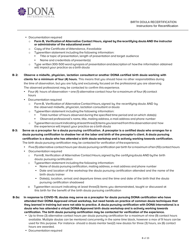

- Documentation required
	- o **Form B, Verification of Alternative Contact Hours, signed by the recertifying doula AND the instructor or administrator of the educational event**
	- o Copy of the Certificate of Attendance, ifavailable
	- o Typewritten statement including the following information:
		- Title or topic of presentation, length of presentation and target audience
		- Name and credentials of presenter(s)
	- $\circ$  Type written 300-500 word synopsis of presentation and description of how the information obtained will impact your practice as a birth doula
- **B-2: Observe a midwife, physician, lactation consultant or another DONA certified birth doula working with clients for a minimum of four (4) hours.** This means that you should have no other responsibilities during the time of observation, but you are fully and exclusively focused on the professional you are observing. The observed professional may be contacted to confirm this experience.
	- Four (4) hours of observation = one (1) alternative contact hour for a maximum of four (4) contact hours
	- Documentation required
		- o Form B, Verification of Alternative Contact Hours, signed by the recertifying doula AND by the observed midwife, physician, lactation consultant ordoula
		- o Typewritten statement including the following information:
			- Total number of hours observed during the specified time period and on which date(s)
			- Observed professional's name, title, mailing address, e-mail address and phone number
		- o Typewritten account indicating atleast three(3) items you learned from this observation and how the experience will impact your practice as a birth doula
- **B-3: Serve as a preceptor for a doula pursuing certification. A preceptor is a certified doula who arranges for a doula pursuing certification to shadow her at the labor and birth of the preceptor's client. A doula pursuing**  certification is a doula who has attended a birth doula workshop and is actively working towards certification. The birth doula pursuing certification may be contacted for verification of theexperience.
	- Five (5) alternative contact hours per doula pursuing certification per birth for a maximum often (10) contact hours
	- Documentation required
		- o Form B, Verification of Alternative Contact Hours, signed by the certifying doula AND bythe birth doula pursuing certification
			- Typewritten statement including the following information:
				- Name of doula pursuing certification, mailing address, e-mail address and phone number
				- Date and location of the workshop the doula pursuing certification attended and the name of the birth doula trainer
				- Date(s), location, arrival and departure times and the time and date of the birth that the doula pursuing certification shadowed
		- o Typewritten account indicating at least three(3) items you demonstrated, taught or discussed at this birth for the benefit of the birth doula pursuing certification
- **B-3a: In response to COVID-19, doulas may serve as a preceptor for doula pursuing DONA certification who have attended their DONA Approved virtual workshop, but need hands-on practice of common doula techniques that they learned in training but were not able to practice. A doula pursuing certification with DONA International is a doula who has attended a virtual DONA-Approved birth doula workshop and is actively working towards certification. The birth doula pursuing certification may be contacted for verification of the experience.** 
	- Up to three (3) alternative contact hours per doula pursuing certification for a maximum of nine (9) contact hours available. Multiple doulas can be mentored concurrently in the same time block, however a max of 9 hours can be used for this purpose. For instance- should a doula mentor two(2) new doulas for three (3) hours, six (6) contact hours are awarded.
	- Documentation required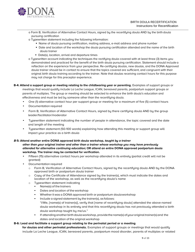

- o Form B, Verification of Alternative Contact Hours, signed by the recertifying doula AND by the birth doula pursuing certification
- o Typewritten statement including the following information:
	- Name of doula pursuing certification, mailing address, e-mail address and phone number
	- Date and location of the workshop the doula pursuing certification attended and the name of the birth doula trainer
	- Date(s), location, arrival and departure times
- o Typewritten account indicating the techniques the rectifying doula covered with at least three (3) items you demonstrated and practiced for the benefit of the birth doula pursuing certification. Statement should include a reflection on the experience from your perspective. Re-certifying doulas, new doulas, and the DONA Approved doula trainer should be in contact to ensure that the topics covered are sufficient, and congruent with their original birth doula training according to the trainer. Note that doulas receiving contact hours for this purpose may not charge for this preceptor experience.
- **B-4: Attend a support group or meeting relating to the childbearing year or parenting.** Examples of support groups or meetings that would qualify include La Leche League, ICAN, bereaved parents, postpartum support groups or parents of multiples. The group or meeting should be selected to enhance the birth doula's education and effectiveness and must be led by someone other than the recertifying doula.
	- One (1) alternative contact hour per support group or meeting for a maximum of five (5) contact hours
	- Documentation required
	- Form B, Verification of Alternative Contact Hours, signed by there certifying doula AND by the group leader/facilitator/moderator
	- Typewritten statement indicating the number of people in attendance, the topic covered and the date and length of the meeting
	- Typewritten statement (50-100 words) explaining how attending this meeting or support group will impact your practice as a birth doula

# *B-***5: Attend another entire DONA approved birth doula workshop,** *taught by a trainer*

**other than your original trainer and other than a trainer whose workshop you may have previously attended for alternative continuing education; OR attend an entire DONA approved postpartum doula workshop. The trainer may be contacted for verification.**

- Fifteen (15) alternative contact hours per workshop attended in its entirety (partial credit will not be granted)
- Documentation required
	- o Form B, Verification of Alternative Contact Hours, signed by the recertifying doula AND by the DONA approved birth or postpartum doula trainer
	- $\circ$  Copy of the Certificate of Attendance signed by the trainer(s), which must indicate the dates and location of the workshop, as well as the recertifying doula's name
	- o Typewritten statement indicating
		- Name(s) of the trainers
		- Dates and location of the workshop
		- Whether it was a DONA approved birth or postpartum doula workshop
		- Include a signed statement by the trainer(s), as follows: "I/We, [name(s) of trainer(s)], verify that [name of recertifying doula] attended the above-named doula workshop in its entirety and that this recertifying doula has not previously attended a birth doula workshop taught by me/us."
		- If attending another birth doula workshop, provide the name(s) of your original trainer(s) and the dates and location of the original workshop

# **B-6: Lead and facilitate a support group relating to the perinatal period or a meeting**

**for doulas and other perinatal professionals.** Examples of support groups or meetings that would qualify include La Leche League, ICAN, bereaved parents, postpartum mood disorder, parents of multiples or related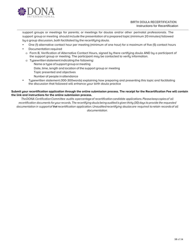

support groups or meetings for parents; or meetings for doulas and/or other perinatal professionals. The support group or meeting should include the presentation of a prepared topic (minimum 20 minutes) followed by a group discussion, both facilitated by the recertifying doula.

- One (1) alternative contact hour per meeting (minimum of one hour) for a maximum of five (5) contact hours
- Documentation required
- o Form B, Verification of Alternative Contact Hours, signed by there certifying doula AND by a participant of the support group or meeting. The participant may be contacted to verify information.
- o Typewritten statement indicating the following: Name ortype of support group ormeeting Date, time, length and location of the support group or meeting Topic presented and objectives Number of people in attendance
- Typewritten statement (100-300words) explaining how preparing and presenting this topic and facilitating the discussion that followed will enhance your birth doula practice

#### **Submit your recertification application through the online submission process. The receipt for the Recertification Fee will contain the link and instructions for the online submission process.**

*TheDONA CertificationCommittee audits apercentageof recertification candidate applications.Pleasekeepcopiesof all* recertification documents for your records. The recertifying doula being audited is given thirty (30) days to provide the requested *documentation in supportof their recertification application.Unauditedrecertifying doulasare required toretain recordsof all documentation.*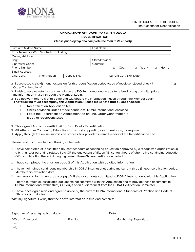

# **APPLICATION/ AFFIDAVIT FOR BIRTH DOULA RECERTIFICATION**

#### *Please print legibly and complete the form in its entirety*

| First and Middle Name:                   |              |               | Last Name:      |                          |      |  |             |  |      |
|------------------------------------------|--------------|---------------|-----------------|--------------------------|------|--|-------------|--|------|
| Your Name for Web Site Referral Listing: |              |               |                 |                          |      |  |             |  |      |
| <b>Mailing Address:</b>                  |              |               |                 |                          |      |  |             |  |      |
| City:                                    |              |               | State/Province: |                          |      |  |             |  |      |
| Zip/Postal Code:                         |              |               | Countru:        |                          |      |  |             |  |      |
| Phone Number:                            |              |               |                 |                          | Cell |  | <b>Work</b> |  | Home |
| Email Address:                           |              |               |                 |                          |      |  |             |  |      |
| Orig. Cert.:                             | (month/year) | Cert. ID No.: |                 | Current Cert. Exp. Date: |      |  |             |  |      |

- $\Box$  I purchased a six (6) month extension for this recertification period (copy of receipt enclosed; check  $\#$  \_ or Order Confirmation # (1)
- □ I wish to receive referrals and remain on the DONA International web site referral listing and will update my information myself through the Member Login.
- $\Box$  I do not want referrals at this time and will update my information myself through the Member Login. **The following must accompany this Application. Please make note that all are enclosed.**
	- □ Recertification Application fee
	- $\Box$  Check or Money Order # made payable to DONA International enclosed
	- $\Box$  I paid the Recertification Application fee on-line, Order Confirmation # (copy of receipt enclosed)
- □ This signed Application/Affidavit for Birth Doula Recertification
- $\Box$  All Alternative Continuing Education forms and supporting documentation, as required
- $\Box$  Apply through the online submission process, link provided in email receipt of the Recertification Fee

Please read and attest to the following statements:

- □ I have completed at least fifteen (15) contact hours of continuing education approved by a recognized organization in a birth and/or parenting related field OR the equivalent of fifteen (15) contact hours of alternative continuing education OR a combination thereof during my current three (3) year certification period.
- $\Box$  I have completed the chart on page 2 of this Application with detailed information.
- $\Box$  I have maintained continuous membership in DONA International during my current three (3) year certification period. Membership expiration date:
- $\Box$  I am keeping for my records a copy of all the documents submitted to DONA International with this Application.
- □ I agree to retain all associated documents not submitted with this Application and to provide these documents to DONA International within thirty (30) days of an audit request from the DONA Certification Committee.
- □ I have once again read and agree to abide by the current DONA International Standards of Practice and Code of Ethics for birth doulas.

With my signature, I verify that the above information is true and complete.

|               | Signature of recertifying birth doula |           | Date                          |
|---------------|---------------------------------------|-----------|-------------------------------|
| Office<br>use | Date rec'd:                           | File No.: | <b>Membership Expiration:</b> |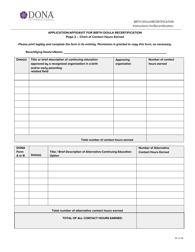

# **APPLICATION/AFFIDAVIT FOR BIRTH DOULA RECERTIFICATION Page 2 – Chart of Contact Hours Earned**

*Please print legibly and complete the form in its entirety. Permission is granted to copy this form, as necessary.* 

# **Date(s) Title or brief description of continuing education approved by a recognized organization in a birth and/or early parenting related field Approving organization Number of contact hours earned Total number of contact hours earned**

| Date(s) | Title / Brief Description of Alternative Continuing Education<br>Option | <b>Number of Alternative</b><br><b>Contact Hours Earned</b> |
|---------|-------------------------------------------------------------------------|-------------------------------------------------------------|
|         |                                                                         |                                                             |
|         |                                                                         |                                                             |
|         |                                                                         |                                                             |
|         |                                                                         |                                                             |
|         |                                                                         |                                                             |
|         |                                                                         |                                                             |
|         |                                                                         |                                                             |
|         |                                                                         |                                                             |
|         | TOTAL OF ALL CONTACT HOURS EARNED:                                      |                                                             |
|         |                                                                         | Total number of alternative contact hours earned            |

#### **Recertifying Doula'sName:**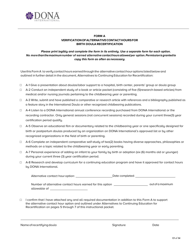

# **FORM A VERIFICATIONOFALTERNATIVECONTACTHOURSFOR BIRTH DOULA RECERTIFICATION**

# *Please print legibly and complete the form in its entirety. Use a separate form for each option. No more thanthemaximumnumber of earned alternative contacthours allowedper option.Permissionisgrantedto copy this form as often as necessary.*

Use this Form A to verify contact hours earned through the alternative contact hour options listed below and outlined in further detail in the document, Alternatives to Continuing Education for Recertification:

- □ A-1 Give a presentation about doulas/labor support to a hospital, birth center, parents' group or doula group
- □ A-2 Conduct an independent study of a book or article packet (consisting of five (5)research-based articles) from medical and/or nursing journals pertaining to the childbearing year or parenting.
- $\Box$  A-3 Write, submit and have published a comparative or research article with references and a bibliography published as a feature story in the International Doula or other recognized childbearing publications.
- □ A-4 Listen to a DONA International annual conference recording purchased from DONA International or the recording contractor. Only general sessions (not concurrent sessions) recorded during your current three(3) year certification period qualify.
- □ A-5 Observe an educational film or documentary related to the childbearing year or one specifically designed for birth or postpartum doulas produced by an organization on DONA International's approved list or by other recognized organizations in the field of birth or parenting.
- □ A-6 Complete an independent comparative self-study of two(2) books having diverse approaches, philosophies or methods on a topic related to the childbearing year or early parenting.
- □ A-7 Personal experience of adding an infant to your family by birth or adoption (six (6) months old or younger) during your current three (3) year certification period.
- □ A-8 Research and develop curriculum for a continuing education program and have it approved for contact hours by DONA International.

| Alternative contact hour option: | Date completed: |  |
|----------------------------------|-----------------|--|
|                                  |                 |  |

outof a maximum Number of alternative contact hours earned for this option allowable of

□ I confirm that I have attached any and all required documentation in addition to this Form A to support the alternative contact hour option and outlined under Alternatives to Continuing Education for Recertification on pages 5 through 7 of this instructional packet.

| Name of recertifying doula | Sianature | Date |
|----------------------------|-----------|------|
|                            |           |      |